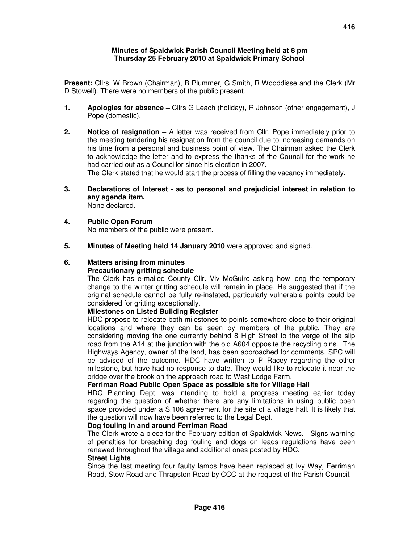#### **Minutes of Spaldwick Parish Council Meeting held at 8 pm Thursday 25 February 2010 at Spaldwick Primary School**

**Present:** Cllrs. W Brown (Chairman), B Plummer, G Smith, R Wooddisse and the Clerk (Mr D Stowell). There were no members of the public present.

- **1. Apologies for absence** Cllrs G Leach (holiday), R Johnson (other engagement), J Pope (domestic).
- **2. Notice of resignation** A letter was received from Cllr. Pope immediately prior to the meeting tendering his resignation from the council due to increasing demands on his time from a personal and business point of view. The Chairman asked the Clerk to acknowledge the letter and to express the thanks of the Council for the work he had carried out as a Councillor since his election in 2007.

The Clerk stated that he would start the process of filling the vacancy immediately.

- **3. Declarations of Interest as to personal and prejudicial interest in relation to any agenda item.**  None declared.
- **4. Public Open Forum**  No members of the public were present.
- **5. Minutes of Meeting held 14 January 2010** were approved and signed.

# **6. Matters arising from minutes**

## **Precautionary gritting schedule**

The Clerk has e-mailed County Cllr. Viv McGuire asking how long the temporary change to the winter gritting schedule will remain in place. He suggested that if the original schedule cannot be fully re-instated, particularly vulnerable points could be considered for gritting exceptionally.

#### **Milestones on Listed Building Register**

HDC propose to relocate both milestones to points somewhere close to their original locations and where they can be seen by members of the public. They are considering moving the one currently behind 8 High Street to the verge of the slip road from the A14 at the junction with the old A604 opposite the recycling bins. The Highways Agency, owner of the land, has been approached for comments. SPC will be advised of the outcome. HDC have written to P Racey regarding the other milestone, but have had no response to date. They would like to relocate it near the bridge over the brook on the approach road to West Lodge Farm.

#### **Ferriman Road Public Open Space as possible site for Village Hall**

HDC Planning Dept. was intending to hold a progress meeting earlier today regarding the question of whether there are any limitations in using public open space provided under a S.106 agreement for the site of a village hall. It is likely that the question will now have been referred to the Legal Dept.

#### **Dog fouling in and around Ferriman Road**

The Clerk wrote a piece for the February edition of Spaldwick News. Signs warning of penalties for breaching dog fouling and dogs on leads regulations have been renewed throughout the village and additional ones posted by HDC.

#### **Street Lights**

Since the last meeting four faulty lamps have been replaced at Ivy Way, Ferriman Road, Stow Road and Thrapston Road by CCC at the request of the Parish Council.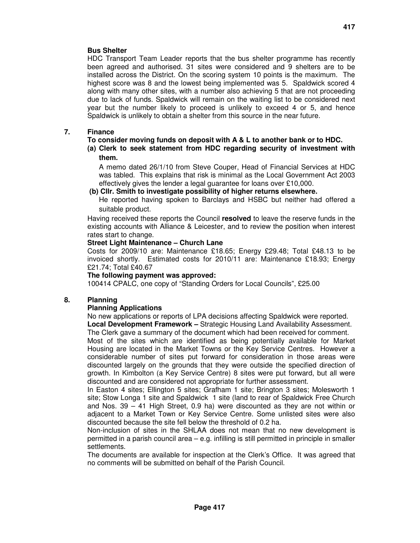## **Bus Shelter**

HDC Transport Team Leader reports that the bus shelter programme has recently been agreed and authorised. 31 sites were considered and 9 shelters are to be installed across the District. On the scoring system 10 points is the maximum. The highest score was 8 and the lowest being implemented was 5. Spaldwick scored 4 along with many other sites, with a number also achieving 5 that are not proceeding due to lack of funds. Spaldwick will remain on the waiting list to be considered next year but the number likely to proceed is unlikely to exceed 4 or 5, and hence Spaldwick is unlikely to obtain a shelter from this source in the near future.

## **7. Finance**

## **To consider moving funds on deposit with A & L to another bank or to HDC.**

#### **(a) Clerk to seek statement from HDC regarding security of investment with them.**

A memo dated 26/1/10 from Steve Couper, Head of Financial Services at HDC was tabled. This explains that risk is minimal as the Local Government Act 2003 effectively gives the lender a legal guarantee for loans over £10,000.

## **(b) Cllr. Smith to investigate possibility of higher returns elsewhere.**

He reported having spoken to Barclays and HSBC but neither had offered a suitable product.

Having received these reports the Council **resolved** to leave the reserve funds in the existing accounts with Alliance & Leicester, and to review the position when interest rates start to change.

## **Street Light Maintenance – Church Lane**

Costs for 2009/10 are: Maintenance £18.65; Energy £29.48; Total £48.13 to be invoiced shortly. Estimated costs for 2010/11 are: Maintenance £18.93; Energy £21.74; Total £40.67

## **The following payment was approved:**

100414 CPALC, one copy of "Standing Orders for Local Councils", £25.00

## **8. Planning**

## **Planning Applications**

No new applications or reports of LPA decisions affecting Spaldwick were reported. **Local Development Framework –** Strategic Housing Land Availability Assessment.

The Clerk gave a summary of the document which had been received for comment.

Most of the sites which are identified as being potentially available for Market Housing are located in the Market Towns or the Key Service Centres. However a considerable number of sites put forward for consideration in those areas were discounted largely on the grounds that they were outside the specified direction of growth. In Kimbolton (a Key Service Centre) 8 sites were put forward, but all were discounted and are considered not appropriate for further assessment.

In Easton 4 sites; Ellington 5 sites; Grafham 1 site; Brington 3 sites; Molesworth 1 site; Stow Longa 1 site and Spaldwick 1 site (land to rear of Spaldwick Free Church and Nos. 39 – 41 High Street, 0.9 ha) were discounted as they are not within or adjacent to a Market Town or Key Service Centre. Some unlisted sites were also discounted because the site fell below the threshold of 0.2 ha.

Non-inclusion of sites in the SHLAA does not mean that no new development is permitted in a parish council area – e.g. infilling is still permitted in principle in smaller settlements.

The documents are available for inspection at the Clerk's Office. It was agreed that no comments will be submitted on behalf of the Parish Council.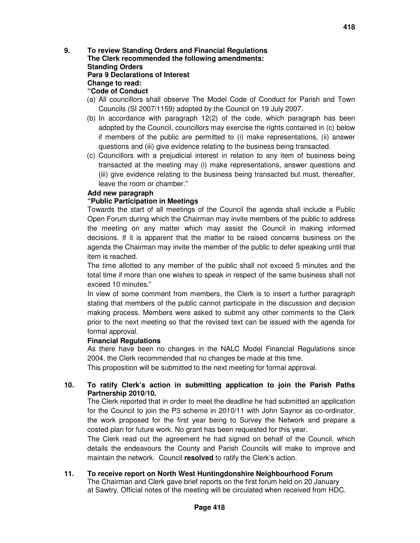**9. To review Standing Orders and Financial Regulations The Clerk recommended the following amendments: Standing Orders Para 9 Declarations of Interest Change to read: "Code of Conduct** 

- (a) All councillors shall observe The Model Code of Conduct for Parish and Town Councils (SI 2007/1159) adopted by the Council on 19 July 2007.
- (b) In accordance with paragraph 12(2) of the code, which paragraph has been adopted by the Council, councillors may exercise the rights contained in (c) below if members of the public are permitted to (i) make representations, (ii) answer questions and (iii) give evidence relating to the business being transacted.
- (c) Councillors with a prejudicial interest in relation to any item of business being transacted at the meeting may (i) make representations, answer questions and (iii) give evidence relating to the business being transacted but must, thereafter, leave the room or chamber."

#### **Add new paragraph**

#### **"Public Participation in Meetings**

Towards the start of all meetings of the Council the agenda shall include a Public Open Forum during which the Chairman may invite members of the public to address the meeting on any matter which may assist the Council in making informed decisions. If it is apparent that the matter to be raised concerns business on the agenda the Chairman may invite the member of the public to defer speaking until that item is reached.

The time allotted to any member of the public shall not exceed 5 minutes and the total time if more than one wishes to speak in respect of the same business shall not exceed 10 minutes."

In view of some comment from members, the Clerk is to insert a further paragraph stating that members of the public cannot participate in the discussion and decision making process. Members were asked to submit any other comments to the Clerk prior to the next meeting so that the revised text can be issued with the agenda for formal approval.

#### **Financial Regulations**

As there have been no changes in the NALC Model Financial Regulations since 2004, the Clerk recommended that no changes be made at this time.

This proposition will be submitted to the next meeting for formal approval.

## **10. To ratify Clerk's action in submitting application to join the Parish Paths Partnership 2010/10.**

The Clerk reported that in order to meet the deadline he had submitted an application for the Council to join the P3 scheme in 2010/11 with John Saynor as co-ordinator, the work proposed for the first year being to Survey the Network and prepare a costed plan for future work. No grant has been requested for this year.

The Clerk read out the agreement he had signed on behalf of the Council, which details the endeavours the County and Parish Councils will make to improve and maintain the network. Council **resolved** to ratify the Clerk's action.

# **11. To receive report on North West Huntingdonshire Neighbourhood Forum**

The Chairman and Clerk gave brief reports on the first forum held on 20 January at Sawtry. Official notes of the meeting will be circulated when received from HDC.